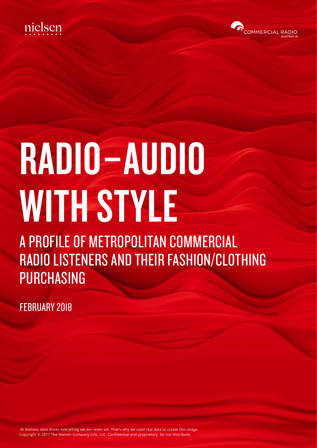



# RADIO–AUDIO WITH STYLE

A PROFILE OF METROPOLITAN COMMERCIAL RADIO LISTENERS AND THEIR FASHION/CLOTHING PURCHASING

FEBRUARY 2018

 At Nielsen, data drives everything we do—even art. That's why we used real data to create this image. Copyright © 2017 The Nielsen Company (US), LLC. Confidential and proprietary. Do not distribute.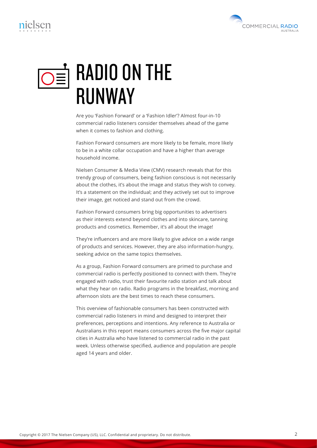# $\circledcirc$  RADIO ON THE **RIINWAY**

Are you 'Fashion Forward' or a 'Fashion Idler'? Almost four-in-10 commercial radio listeners consider themselves ahead of the game when it comes to fashion and clothing.

Fashion Forward consumers are more likely to be female, more likely to be in a white collar occupation and have a higher than average household income.

Nielsen Consumer & Media View (CMV) research reveals that for this trendy group of consumers, being fashion conscious is not necessarily about the clothes, it's about the image and status they wish to convey. It's a statement on the individual; and they actively set out to improve their image, get noticed and stand out from the crowd.

Fashion Forward consumers bring big opportunities to advertisers as their interests extend beyond clothes and into skincare, tanning products and cosmetics. Remember, it's all about the image!

They're influencers and are more likely to give advice on a wide range of products and services. However, they are also information-hungry, seeking advice on the same topics themselves.

As a group, Fashion Forward consumers are primed to purchase and commercial radio is perfectly positioned to connect with them. They're engaged with radio, trust their favourite radio station and talk about what they hear on radio. Radio programs in the breakfast, morning and afternoon slots are the best times to reach these consumers.

This overview of fashionable consumers has been constructed with commercial radio listeners in mind and designed to interpret their preferences, perceptions and intentions. Any reference to Australia or Australians in this report means consumers across the five major capital cities in Australia who have listened to commercial radio in the past week. Unless otherwise specified, audience and population are people aged 14 years and older.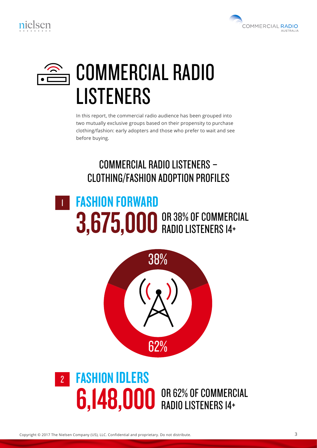



# COMMERCIAL RADIO LISTENERS

In this report, the commercial radio audience has been grouped into two mutually exclusive groups based on their propensity to purchase clothing/fashion: early adopters and those who prefer to wait and see before buying.

### COMMERCIAL RADIO LISTENERS – CLOTHING/FASHION ADOPTION PROFILES

#### FASHION FORWARD 3,675,000 OR 38% OF COMMERCIAL 1 RADIO LISTENERS 14+



#### FASHION IDLERS 6,148,000 OR 62% OF COMMERCIAL 2 RADIO LISTENERS 14+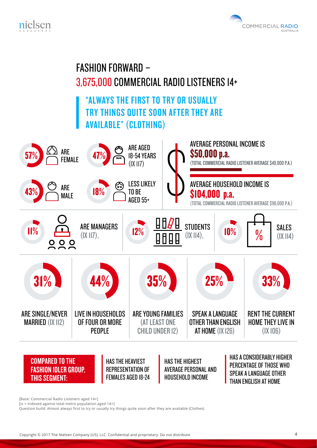



#### FASHION FORWARD – 3,675,000 COMMERCIAL RADIO LISTENERS 14+ "ALWAYS THE FIRST TO TRY OR USUALLY TRY THINGS QUITE SOON AFTER THEY ARE AVAILABLE" (CLOTHING) AVERAGE PERSONAL INCOME IS ARE AGED ARE \$50,000 p.a. 57% 47% 18-54 YEARS FEMALE (TOTAL COMMERCIAL RADIO LISTENER AVERAGE \$49,000 P.A.) (IX 117) AVERAGE HOUSEHOLD INCOME IS LESS LIKELY ARE 43% 18% TO BE 00 p.a. MALE AGED 55+ (TOTAL COMMERCIAL RADIO LISTENER AVERAGE \$98,000 P.A.) **STUDENTS** ARE MANAGERS SALES  $11\%$   $11\%$   $11\%$   $11\%$   $11\%$   $12\%$   $12\%$   $12\%$   $12\%$   $12\%$   $12\%$   $12\%$   $12\%$   $12\%$   $12\%$   $12\%$   $12\%$   $12\%$   $12\%$   $12\%$   $12\%$   $12\%$   $12\%$   $12\%$   $12\%$   $12\%$   $12\%$   $12\%$   $12\%$   $12\%$   $12\%$   $12\$ 0  $(IX II7)$ .  $(IX \, II4)$ .  $(IX 114)$ 'n  $31\%$  34% 35% 25% 33% ARE SINGLE/NEVER LIVE IN HOUSEHOLDS ARE YOUNG FAMILIES SPEAK A LANGUAGE RENT THE CURRENT MARRIED (IX 112) OF FOUR OR MORE (AT LEAST ONE OTHER THAN ENGLISH HOME THEY LIVE IN PEOPLE CHILD UNDER 12) AT HOME (IX 126) (IX 106) COMPARED TO THE

THIS SEGMENT:

FASHION IDLER GROUP,

HAS THE HEAVIEST REPRESENTATION OF FEMALES AGED 18-24 HAS THE HIGHEST AVERAGE PERSONAL AND HOUSEHOLD INCOME

HAS A CONSIDERABLY HIGHER PERCENTAGE OF THOSE WHO SPEAK A LANGUAGE OTHER THAN ENGLISH AT HOME

[Base: Commercial Radio Listeners aged 14+]

 $\overline{a}$  [ix = indexed against total metro population aged 14+]

Question build: Almost always first to try or usually try things quite soon after they are available (Clothes)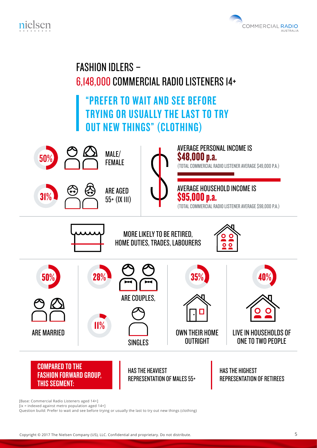





[Base: Commercial Radio Listeners aged 14+]

[ix = indexed against metro population aged 14+]

Question build: Prefer to wait and see before trying or usually the last to try out new things (clothing)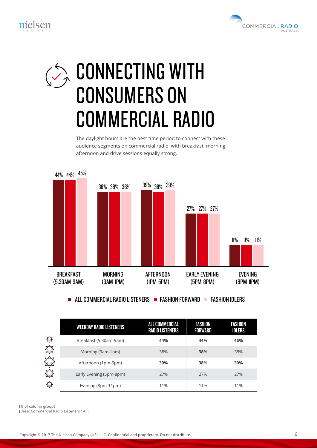

# **CONNECTING WITH** CONSUMERS ON COMMERCIAL RADIO

The daylight hours are the best time period to connect with these audience segments on commercial radio, with breakfast, morning, afternoon and drive sessions equally strong.



 $\blacksquare$  all commercial radio listeners  $\blacksquare$  fashion forward  $\blacksquare$  fashion idlers

|           | <b>WEEKDAY RADIO LISTENERS</b> | <b>ALL COMMERCIAL</b><br><b>RADIO LISTENERS</b> | <b>FASHION</b><br><b>FORWARD</b> | <b>FASHION</b><br><b>IDLERS</b> |
|-----------|--------------------------------|-------------------------------------------------|----------------------------------|---------------------------------|
| ♦         | Breakfast (5.30am-9am)         | 44%                                             | 44%                              | 45%                             |
|           | Morning (9am-1pm)              | 38%                                             | 38%                              | 38%                             |
|           | Afternoon (1pm-5pm)            | 39%                                             | 38%                              | 39%                             |
| $\approx$ | Early Evening (5pm-8pm)        | 27%                                             | 27%                              | 27%                             |
|           | Evening (8pm-11pm)             | 11%                                             | 11%                              | 11%                             |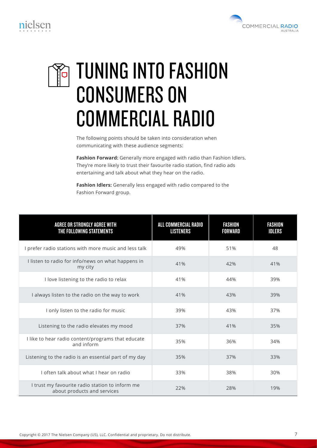



# TUNING INTO FASHION CONSUMERS ON COMMERCIAL RADIO

The following points should be taken into consideration when communicating with these audience segments:

**Fashion Forward:** Generally more engaged with radio than Fashion Idlers. They're more likely to trust their favourite radio station, find radio ads entertaining and talk about what they hear on the radio.

**Fashion Idlers:** Generally less engaged with radio compared to the Fashion Forward group.

| <b>AGREE OR STRONGLY AGREE WITH</b><br>THE FOLLOWING STATEMENTS                | ALL COMMERCIAL RADIO<br><b>LISTENERS</b> | <b>FASHION</b><br><b>FORWARD</b> | <b>FASHION</b><br><b>IDLERS</b> |
|--------------------------------------------------------------------------------|------------------------------------------|----------------------------------|---------------------------------|
| I prefer radio stations with more music and less talk                          | 49%                                      | 51%                              | 48                              |
| I listen to radio for info/news on what happens in<br>my city                  | 41%                                      | 42%                              | 41%                             |
| I love listening to the radio to relax                                         | 41%                                      | 44%                              | 39%                             |
| I always listen to the radio on the way to work                                | 41%                                      | 43%                              | 39%                             |
| I only listen to the radio for music                                           | 39%                                      | 43%                              | 37%                             |
| Listening to the radio elevates my mood                                        | 37%                                      | 41%                              | 35%                             |
| I like to hear radio content/programs that educate<br>and inform               | 35%                                      | 36%                              | 34%                             |
| Listening to the radio is an essential part of my day                          | 35%                                      | 37%                              | 33%                             |
| I often talk about what I hear on radio                                        | 33%                                      | 38%                              | 30%                             |
| I trust my favourite radio station to inform me<br>about products and services | 22%                                      | 28%                              | 19%                             |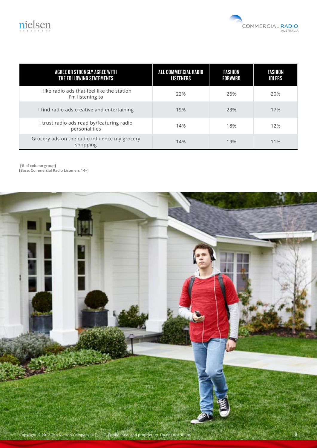



| AGREE OR STRONGLY AGREE WITH<br>THE FOLLOWING STATEMENTS        | ALL COMMERCIAL RADIO<br><b>LISTENERS</b> | <b>FASHION</b><br><b>FORWARD</b> | <b>FASHION</b><br><b>IDLERS</b> |
|-----------------------------------------------------------------|------------------------------------------|----------------------------------|---------------------------------|
| I like radio ads that feel like the station<br>I'm listening to | 22%                                      | 26%                              | 20%                             |
| I find radio ads creative and entertaining                      | 19%                                      | 23%                              | 17%                             |
| I trust radio ads read by/featuring radio<br>personalities      | 14%                                      | 18%                              | 12%                             |
| Grocery ads on the radio influence my grocery<br>shopping       | 14%                                      | 19%                              | 11%                             |

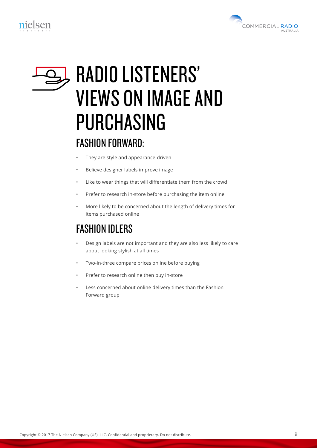



# RADIO LISTENERS' VIEWS ON IMAGE AND PURCHASING

#### FASHION FORWARD:

- They are style and appearance-driven
- Believe designer labels improve image
- Like to wear things that will differentiate them from the crowd
- Prefer to research in-store before purchasing the item online
- More likely to be concerned about the length of delivery times for items purchased online

### FASHION IDLERS

- Design labels are not important and they are also less likely to care about looking stylish at all times
- Two-in-three compare prices online before buying
- Prefer to research online then buy in-store
- Less concerned about online delivery times than the Fashion Forward group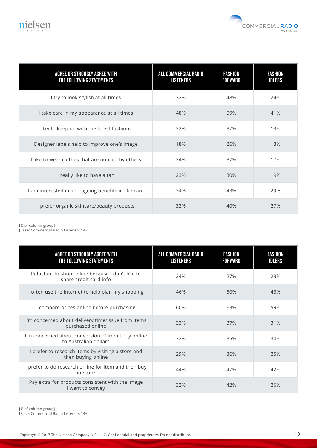



| AGREE OR STRONGLY AGREE WITH<br>THE FOLLOWING STATEMENTS | ALL COMMERCIAL RADIO<br><b>LISTENERS</b> | <b>FASHION</b><br><b>FORWARD</b> | <b>FASHION</b><br><b>IDLERS</b> |
|----------------------------------------------------------|------------------------------------------|----------------------------------|---------------------------------|
| I try to look stylish at all times                       | 32%                                      | 48%                              | 24%                             |
| I take care in my appearance at all times                | 48%                                      | 59%                              | 41%                             |
| I try to keep up with the latest fashions                | 22%                                      | 37%                              | 13%                             |
| Designer labels help to improve one's image              | 18%                                      | 26%                              | 13%                             |
| I like to wear clothes that are noticed by others        | 24%                                      | 37%                              | 17%                             |
| I really like to have a tan                              | 23%                                      | 30%                              | 19%                             |
| I am interested in anti-ageing benefits in skincare      | 34%                                      | 43%                              | 29%                             |
| I prefer organic skincare/beauty products                | 32%                                      | 40%                              | 27%                             |

| <b>AGREE OR STRONGLY AGREE WITH</b><br>THE FOLLOWING STATEMENTS              | ALL COMMERCIAL RADIO<br><b>LISTENERS</b> | <b>FASHION</b><br><b>FORWARD</b> | <b>FASHION</b><br><b>IDLERS</b> |
|------------------------------------------------------------------------------|------------------------------------------|----------------------------------|---------------------------------|
| Reluctant to shop online because I don't like to<br>share credit card info   | 24%                                      | 27%                              | 23%                             |
| I often use the Internet to help plan my shopping                            | 46%                                      | 50%                              | 43%                             |
| I compare prices online before purchasing                                    | 60%                                      | 63%                              | 59%                             |
| I'm concerned about delivery time/issue from items<br>purchased online       | 33%                                      | 37%                              | 31%                             |
| I'm concerned about conversion of item I buy online<br>to Australian dollars | 32%                                      | 35%                              | 30%                             |
| I prefer to research items by visiting a store and<br>then buying online     | 29%                                      | 36%                              | 25%                             |
| I prefer to do research online for item and then buy<br>in-store             | 44%                                      | 47%                              | 42%                             |
| Pay extra for products consistent with the image<br>I want to convey         | 32%                                      | 42%                              | 26%                             |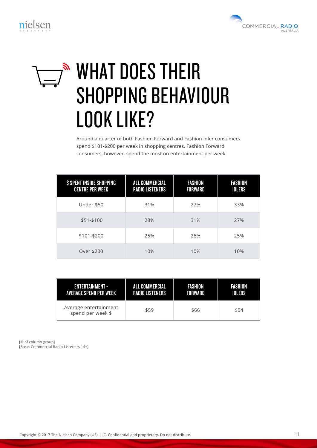

# $\nabla^{\mathbb{R}}$  WHAT DOES THEIR SHOPPING BEHAVIOUR LOOK LIKE?

Around a quarter of both Fashion Forward and Fashion Idler consumers spend \$101-\$200 per week in shopping centres. Fashion Forward consumers, however, spend the most on entertainment per week.

| <b>\$ SPENT INSIDE SHOPPING</b><br><b>CENTRE PER WEEK</b> | <b>ALL COMMERCIAL</b><br><b>RADIO LISTENERS</b> | <b>FASHION</b><br><b>FORWARD</b> | <b>FASHION</b><br><b>IDLERS</b> |
|-----------------------------------------------------------|-------------------------------------------------|----------------------------------|---------------------------------|
| Under \$50                                                | 31%                                             | 27%                              | 33%                             |
| $$51-$100$                                                | 28%                                             | 31%                              | 27%                             |
| \$101-\$200                                               | 25%                                             | 26%                              | 25%                             |
| Over \$200                                                | 10%                                             | 10%                              | 10%                             |

| <b>ENTERTAINMENT -</b>                     | ALL COMMERCIAL         | FASHION | <b>FASHION</b> |
|--------------------------------------------|------------------------|---------|----------------|
| AVERAGE SPEND PER WEEK                     | <b>RADIO LISTENERS</b> | FORWARD | <b>IDLERS</b>  |
| Average entertainment<br>spend per week \$ | \$59                   | \$66    | \$54           |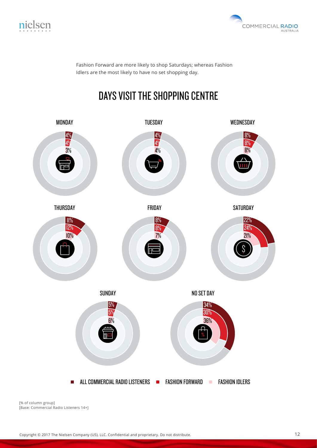



Fashion Forward are more likely to shop Saturdays; whereas Fashion Idlers are the most likely to have no set shopping day.

### DAYS VISIT THE SHOPPING CENTRE

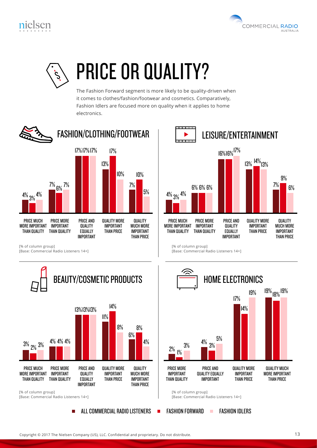



# PRICE OR QUALITY?

The Fashion Forward segment is more likely to be quality-driven when it comes to clothes/fashion/footwear and cosmetics. Comparatively, Fashion Idlers are focused more on quality when it applies to home electronics.



<sup>[%</sup> of column group]

[Base: Commercial Radio Listeners 14+]



п



<sup>[</sup>Base: Commercial Radio Listeners 14+]



ALL COMMERCIAL RADIO LISTENERS  $\blacksquare$  fashion forward  $\blacksquare$  fashion idlers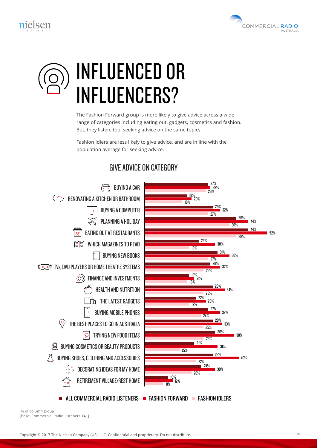



# INFLUENCED OR INFLUENCERS?

The Fashion Forward group is more likely to give advice across a wide range of categories including eating out, gadgets, cosmetics and fashion. But, they listen, too, seeking advice on the same topics.

Fashion Idlers are less likely to give advice, and are in line with the population average for seeking advice.

#### GIVE ADVICE ON CATEGORY

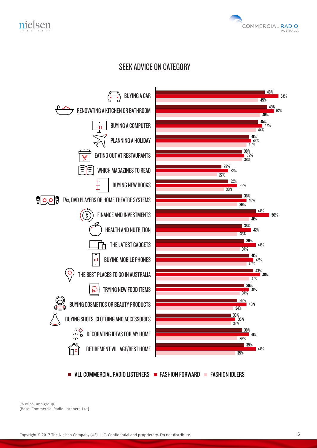

#### SEEK ADVICE ON CATEGORY

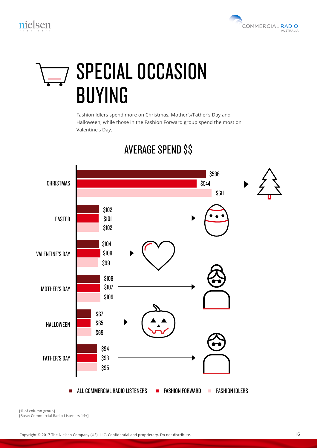

# SPECIAL OCCASION BUYING

Fashion Idlers spend more on Christmas, Mother's/Father's Day and Halloween, while those in the Fashion Forward group spend the most on Valentine's Day.



#### AVERAGE SPEND \$\$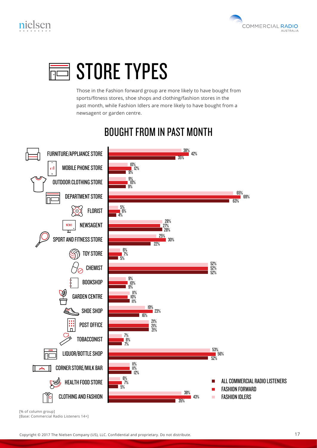





Those in the Fashion forward group are more likely to have bought from sports/fitness stores, shoe shops and clothing/fashion stores in the past month, while Fashion Idlers are more likely to have bought from a newsagent or garden centre.

#### BOUGHT FROM IN PAST MONTH

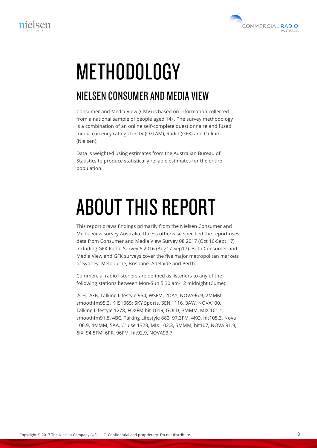

# **METHODOLOGY**

#### NIELSEN CONSUMER AND MEDIA VIEW

Consumer and Media View (CMV) is based on information collected from a national sample of people aged 14+. The survey methodology is a combination of an online self-complete questionnaire and fused media currency ratings for TV (OzTAM), Radio (GFK) and Online (Nielsen).

Data is weighted using estimates from the Australian Bureau of Statistics to produce statistically reliable estimates for the entire population.

# ABOUT THIS REPORT

This report draws findings primarily from the Nielsen Consumer and Media View survey Australia. Unless otherwise specified the report uses data from Consumer and Media View Survey 08 2017 (Oct 16-Sept 17) including GFK Radio Survey 6 2016 (Aug17-Sep17). Both Consumer and Media View and GFK surveys cover the five major metropolitan markets of Sydney, Melbourne, Brisbane, Adelaide and Perth.

Commercial radio listeners are defined as listeners to any of the following stations between Mon-Sun 5:30 am-12 midnight (Cume):

2CH, 2GB, Talking Lifestyle 954, WSFM, 2DAY, NOVA96.9, 2MMM, smoothfm95.3, KIIS1065; SKY Sports, SEN 1116, 3AW, NOVA100, Talking Lifestyle 1278, FOXFM hit 1019, GOLD, 3MMM, MIX 101.1, smoothfm91.5, 4BC, Talking Lifestyle 882, 97.3FM, 4KQ, hit105.3, Nova 106.9, 4MMM, 5AA, Cruise 1323, MIX 102.3, 5MMM, hit107, NOVA 91.9, 6IX, 94.5FM, 6PR, 96FM, hit92.9, NOVA93.7